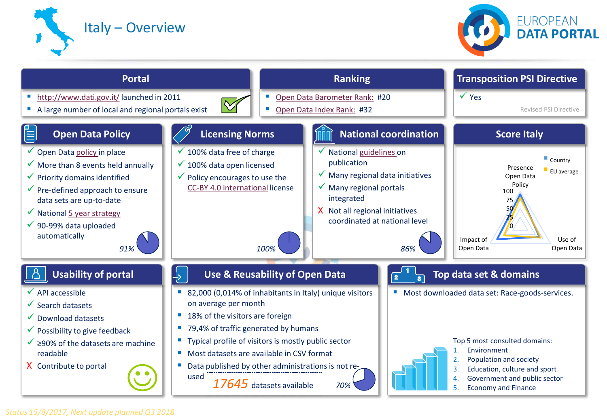Italy – Overview





### *Status 15/8/2017, Next update planned Q3 2018*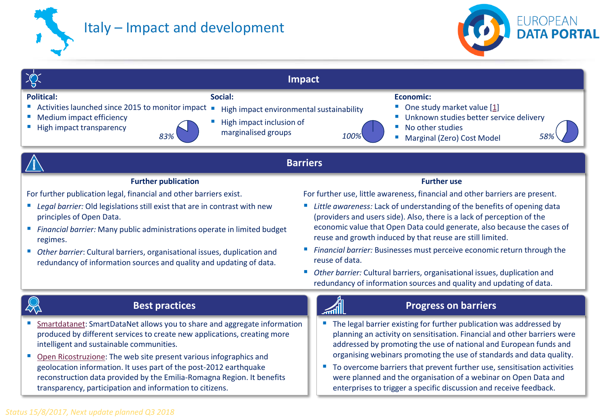

# Italy – Impact and development



| <b>Impact</b>                                                                                                                                                                                                                                                                                                                                                                                                                                                                                                |                                                                                                                                                                                                                                                                                                                                                                                                                                                                                                                                                                                                                                             |
|--------------------------------------------------------------------------------------------------------------------------------------------------------------------------------------------------------------------------------------------------------------------------------------------------------------------------------------------------------------------------------------------------------------------------------------------------------------------------------------------------------------|---------------------------------------------------------------------------------------------------------------------------------------------------------------------------------------------------------------------------------------------------------------------------------------------------------------------------------------------------------------------------------------------------------------------------------------------------------------------------------------------------------------------------------------------------------------------------------------------------------------------------------------------|
| <b>Political:</b><br>Social:<br>Activities launched since 2015 to monitor impact<br>High impact environmental sustainability<br>Medium impact efficiency<br>High impact inclusion of<br>High impact transparency<br>marginalised groups<br>83%                                                                                                                                                                                                                                                               | <b>Economic:</b><br>One study market value [1]<br>Unknown studies better service delivery<br>No other studies<br>100%<br>Marginal (Zero) Cost Model                                                                                                                                                                                                                                                                                                                                                                                                                                                                                         |
| <b>Barriers</b>                                                                                                                                                                                                                                                                                                                                                                                                                                                                                              |                                                                                                                                                                                                                                                                                                                                                                                                                                                                                                                                                                                                                                             |
| <b>Further publication</b>                                                                                                                                                                                                                                                                                                                                                                                                                                                                                   | <b>Further use</b>                                                                                                                                                                                                                                                                                                                                                                                                                                                                                                                                                                                                                          |
| For further publication legal, financial and other barriers exist.<br>Legal barrier: Old legislations still exist that are in contrast with new<br>principles of Open Data.<br>Financial barrier: Many public administrations operate in limited budget<br>regimes.<br>Other barrier: Cultural barriers, organisational issues, duplication and<br>redundancy of information sources and quality and updating of data.                                                                                       | For further use, little awareness, financial and other barriers are present.<br>Little awareness: Lack of understanding of the benefits of opening data<br>(providers and users side). Also, there is a lack of perception of the<br>economic value that Open Data could generate, also because the cases of<br>reuse and growth induced by that reuse are still limited.<br>Financial barrier: Businesses must perceive economic return through the<br>reuse of data.<br>$\blacksquare$<br>Other barrier: Cultural barriers, organisational issues, duplication and<br>redundancy of information sources and quality and updating of data. |
| <b>Best practices</b>                                                                                                                                                                                                                                                                                                                                                                                                                                                                                        | <b>Progress on barriers</b><br>而                                                                                                                                                                                                                                                                                                                                                                                                                                                                                                                                                                                                            |
| Smartdatanet: SmartDataNet allows you to share and aggregate information<br>produced by different services to create new applications, creating more<br>intelligent and sustainable communities.<br>Open Ricostruzione: The web site present various infographics and<br>$\overline{\phantom{a}}$<br>geolocation information. It uses part of the post-2012 earthquake<br>reconstruction data provided by the Emilia-Romagna Region. It benefits<br>transparency, participation and information to citizens. | " The legal barrier existing for further publication was addressed by<br>planning an activity on sensitisation. Financial and other barriers were<br>addressed by promoting the use of national and European funds and<br>organising webinars promoting the use of standards and data quality.<br>" To overcome barriers that prevent further use, sensitisation activities<br>were planned and the organisation of a webinar on Open Data and<br>enterprises to trigger a specific discussion and receive feedback.                                                                                                                        |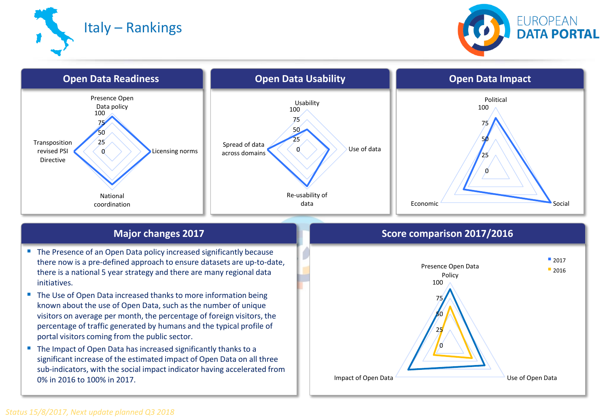Italy – Rankings





- **The Presence of an Open Data policy increased significantly because** there now is a pre-defined approach to ensure datasets are up-to-date, there is a national 5 year strategy and there are many regional data initiatives.
- The Use of Open Data increased thanks to more information being known about the use of Open Data, such as the number of unique visitors on average per month, the percentage of foreign visitors, the percentage of traffic generated by humans and the typical profile of portal visitors coming from the public sector.
- The Impact of Open Data has increased significantly thanks to a significant increase of the estimated impact of Open Data on all three sub-indicators, with the social impact indicator having accelerated from 0% in 2016 to 100% in 2017.

### **Major changes 2017 Score comparison 2017/2016**